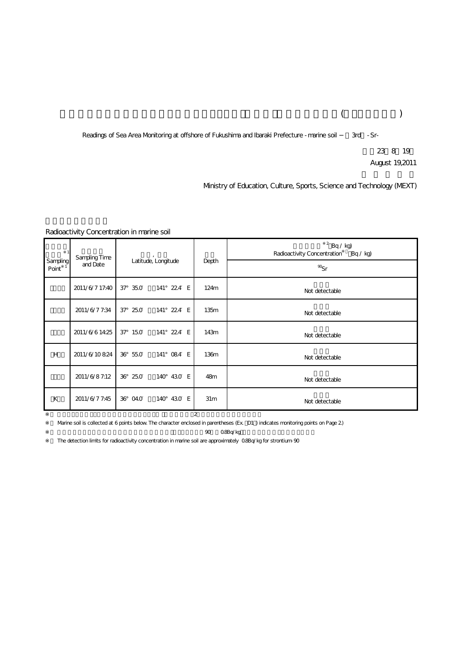## $($

Readings of Sea Area Monitoring at offshore of Fukushima and Ibaraki Prefecture - marine soil 3rd - Sr-

23 8 19 August 19,2011

Ministry of Education, Culture, Sports, Science and Technology (MEXT)

## Radioactivity Concentration in marine soil

| Sampling<br>Point | Sampling Time<br>and Date | Latitude, Longitude |            | Depth            | $2$ Bq / kg)<br>Radioactivity Concentration<br>Bq / kq |
|-------------------|---------------------------|---------------------|------------|------------------|--------------------------------------------------------|
|                   |                           |                     |            |                  | $\mathcal{D}_{\mathsf{S} \mathsf{r}}$                  |
|                   | 2011/6/7 17:40            | $37^{\circ}$ 35.0   | 141° 224 E | 124m             | Not detectable                                         |
|                   | 2011/6/77:34              | $37^{\circ}$ 25.0   | 141° 224 E | 135m             | Not detectable                                         |
|                   | 2011/6/614:25             | $37^{\circ}$ 150    | 141° 224 E | 143m             | Not detectable                                         |
| H                 | 2011/6/10824              | 36° 55.0            | 141° 084 E | 136 <sub>m</sub> | Not detectable                                         |
|                   | 2011/6/87:12              | 36° 25.0            | 140° 430 E | 48m              | Not detectable                                         |
| К                 | 2011/6/7 7:45             | 36° 04.0            | 140° 430 E | 31 <sub>m</sub>  | Not detectable                                         |
| $\overline{2}$    |                           |                     |            |                  |                                                        |

Warine soil is collected at 6 points below. The character enclosed in parentheses (Ex. D1 ) indicates monitoring points on Page 2)

%2 0.8Bq/kg

The detection limits for radioactivity concentration in marine soil are approximately 0.8Bq/kg for strontium-90